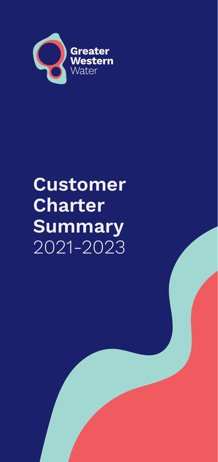

# **Customer Charter Summary**  2021-2023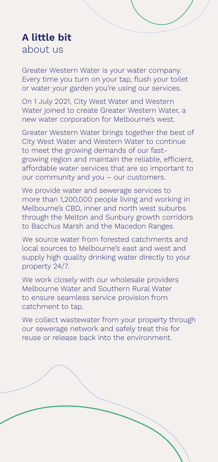### **A little bit**  about us

Greater Western Water is your water company. Every time you turn on your tap, flush your toilet or water your garden you're using our services.

On 1 July 2021, City West Water and Western Water joined to create Greater Western Water, a new water corporation for Melbourne's west.

Greater Western Water brings together the best of City West Water and Western Water to continue to meet the growing demands of our fastgrowing region and maintain the reliable, efficient, affordable water services that are so important to our community and you – our customers.

We provide water and sewerage services to more than 1,200,000 people living and working in Melbourne's CBD, inner and north west suburbs through the Melton and Sunbury growth corridors to Bacchus Marsh and the Macedon Ranges.

We source water from forested catchments and local sources to Melbourne's east and west and supply high quality drinking water directly to your property 24/7.

We work closely with our wholesale providers Melbourne Water and Southern Rural Water to ensure seamless service provision from catchment to tap.

We collect wastewater from your property through our sewerage network and safely treat this for reuse or release back into the environment.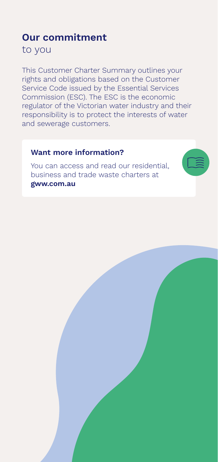### **Our commitment**  to you

This Customer Charter Summary outlines your rights and obligations based on the Customer Service Code issued by the Essential Services Commission (ESC). The ESC is the economic regulator of the Victorian water industry and their responsibility is to protect the interests of water and sewerage customers.

#### **Want more information?**

You can access and read our residential, business and trade waste charters at **[gww.com.au](http://www.gww.com.au)**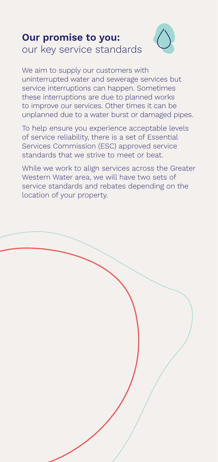### **Our promise to you:**  our key service standards



We aim to supply our customers with uninterrupted water and sewerage services but service interruptions can happen. Sometimes these interruptions are due to planned works to improve our services. Other times it can be unplanned due to a water burst or damaged pipes.

To help ensure you experience acceptable levels of service reliability, there is a set of Essential Services Commission (ESC) approved service standards that we strive to meet or beat.

While we work to align services across the Greater Western Water area, we will have two sets of service standards and rebates depending on the location of your property.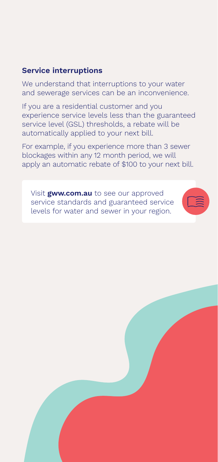### **Service interruptions**

We understand that interruptions to your water and sewerage services can be an inconvenience.

If you are a residential customer and you experience service levels less than the guaranteed service level (GSL) thresholds, a rebate will be automatically applied to your next bill.

For example, if you experience more than 3 sewer blockages within any 12 month period, we will apply an automatic rebate of \$100 to your next bill.

Visit **[gww.com.au](http://www.gww.com.au)** to see our approved service standards and guaranteed service levels for water and sewer in your region.



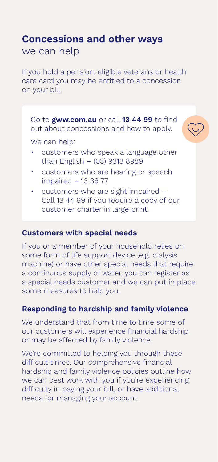### **Concessions and other ways**

we can help

If you hold a pension, eligible veterans or health care card you may be entitled to a concession on your bill.

Go to **[gww.com.au](http://www.gww.com.au)** or call **13 44 99** to find out about concessions and how to apply.



We can help:

- customers who speak a language other than English – (03) 9313 8989
- customers who are hearing or speech impaired – 13 36 77
- customers who are sight impaired Call 13 44 99 if you require a copy of our customer charter in large print.

### **Customers with special needs**

If you or a member of your household relies on some form of life support device (e.g. dialysis machine) or have other special needs that require a continuous supply of water, you can register as a special needs customer and we can put in place some measures to help you.

### **Responding to hardship and family violence**

We understand that from time to time some of our customers will experience financial hardship or may be affected by family violence.

We're committed to helping you through these difficult times. Our comprehensive financial hardship and family violence policies outline how we can best work with you if you're experiencing difficulty in paying your bill, or have additional needs for managing your account.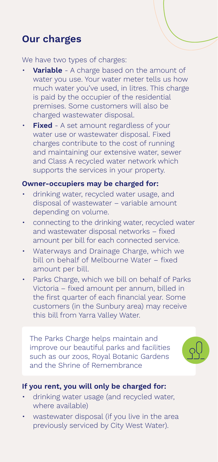### **Our charges**

We have two types of charges:

- **Variable** A charge based on the amount of water you use. Your water meter tells us how much water you've used, in litres. This charge is paid by the occupier of the residential premises. Some customers will also be charged wastewater disposal.
- **Fixed** A set amount regardless of your water use or wastewater disposal. Fixed charges contribute to the cost of running and maintaining our extensive water, sewer and Class A recycled water network which supports the services in your property.

#### **Owner-occupiers may be charged for:**

- drinking water, recycled water usage, and disposal of wastewater – variable amount depending on volume.
- connecting to the drinking water, recycled water and wastewater disposal networks – fixed amount per bill for each connected service.
- Waterways and Drainage Charge, which we bill on behalf of Melbourne Water – fixed amount per bill.
- Parks Charge, which we bill on behalf of Parks Victoria – fixed amount per annum, billed in the first quarter of each financial year. Some customers (in the Sunbury area) may receive this bill from Yarra Valley Water.

The Parks Charge helps maintain and improve our beautiful parks and facilities such as our zoos, Royal Botanic Gardens and the Shrine of Remembrance



### **If you rent, you will only be charged for:**

- drinking water usage (and recycled water, where available)
- wastewater disposal (if you live in the area previously serviced by City West Water).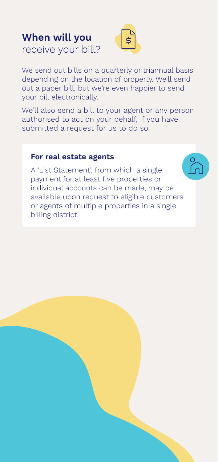### **When will you**  receive your bill?



We send out bills on a quarterly or triannual basis depending on the location of property. We'll send out a paper bill, but we're even happier to send your bill electronically.

We'll also send a bill to your agent or any person authorised to act on your behalf, if you have submitted a request for us to do so.

#### **For real estate agents**

A 'List Statement', from which a single payment for at least five properties or individual accounts can be made, may be available upon request to eligible customers or agents of multiple properties in a single billing district.

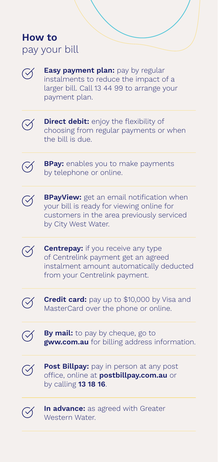### **How to**  pay your bill



**Easy payment plan:** pay by regular instalments to reduce the impact of a larger bill. Call 13 44 99 to arrange your payment plan.



**Direct debit:** enjoy the flexibility of choosing from regular payments or when the bill is due.





**BPayView:** get an email notification when your bill is ready for viewing online for customers in the area previously serviced by City West Water.

**Centrepay:** if you receive any type  $\oslash$ of Centrelink payment get an agreed instalment amount automatically deducted from your Centrelink payment.



**Credit card:** pay up to \$10,000 by Visa and MasterCard over the phone or online.

**By mail:** to pay by cheque, go to **[gww.com.au](http://www.gww.com.au)** for billing address information.



**Post Billpay:** pay in person at any post office, online at **[postbillpay.com.au](http://postbillpay.com.au)** or by calling **13 18 16**.



**In advance:** as agreed with Greater Western Water.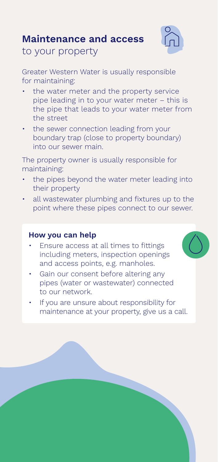### **Maintenance and access**



to your property

Greater Western Water is usually responsible for maintaining:

- the water meter and the property service pipe leading in to your water meter – this is the pipe that leads to your water meter from the street
- the sewer connection leading from your boundary trap (close to property boundary) into our sewer main.

The property owner is usually responsible for maintaining:

- the pipes beyond the water meter leading into their property
- all wastewater plumbing and fixtures up to the point where these pipes connect to our sewer.

#### **How you can help**

- Ensure access at all times to fittings including meters, inspection openings and access points, e.g. manholes.
- Gain our consent before altering any pipes (water or wastewater) connected to our network.
- If you are unsure about responsibility for maintenance at your property, give us a call.

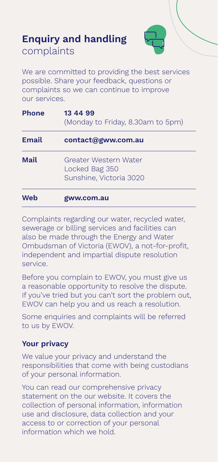## **Enquiry and handling**

complaints



We are committed to providing the best services possible. Share your feedback, questions or complaints so we can continue to improve our services.

| <b>Phone</b> | 13 44 99<br>(Monday to Friday, 8.30am to 5pm)                      |
|--------------|--------------------------------------------------------------------|
| Email        | contact@gww.com.au                                                 |
| Mail         | Greater Western Water<br>Locked Bag 350<br>Sunshine, Victoria 3020 |
| Web          | gww.com.au                                                         |

Complaints regarding our water, recycled water, sewerage or billing services and facilities can also be made through the Energy and Water Ombudsman of Victoria (EWOV), a not-for-profit, independent and impartial dispute resolution service.

Before you complain to EWOV, you must give us a reasonable opportunity to resolve the dispute. If you've tried but you can't sort the problem out, EWOV can help you and us reach a resolution.

Some enquiries and complaints will be referred to us by EWOV.

### **Your privacy**

We value your privacy and understand the responsibilities that come with being custodians of your personal information.

You can read our comprehensive privacy statement on the our website. It covers the collection of personal information, information use and disclosure, data collection and your access to or correction of your personal information which we hold.